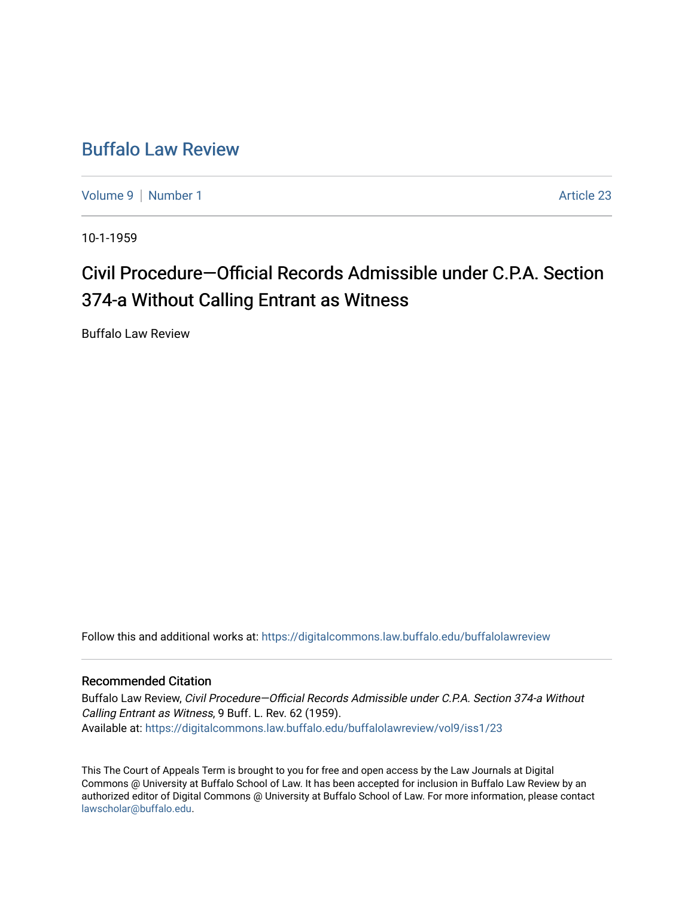## [Buffalo Law Review](https://digitalcommons.law.buffalo.edu/buffalolawreview)

[Volume 9](https://digitalcommons.law.buffalo.edu/buffalolawreview/vol9) | [Number 1](https://digitalcommons.law.buffalo.edu/buffalolawreview/vol9/iss1) Article 23

10-1-1959

# Civil Procedure—Official Records Admissible under C.P.A. Section 374-a Without Calling Entrant as Witness

Buffalo Law Review

Follow this and additional works at: [https://digitalcommons.law.buffalo.edu/buffalolawreview](https://digitalcommons.law.buffalo.edu/buffalolawreview?utm_source=digitalcommons.law.buffalo.edu%2Fbuffalolawreview%2Fvol9%2Fiss1%2F23&utm_medium=PDF&utm_campaign=PDFCoverPages) 

### Recommended Citation

Buffalo Law Review, Civil Procedure—Official Records Admissible under C.P.A. Section 374-a Without Calling Entrant as Witness, 9 Buff. L. Rev. 62 (1959). Available at: [https://digitalcommons.law.buffalo.edu/buffalolawreview/vol9/iss1/23](https://digitalcommons.law.buffalo.edu/buffalolawreview/vol9/iss1/23?utm_source=digitalcommons.law.buffalo.edu%2Fbuffalolawreview%2Fvol9%2Fiss1%2F23&utm_medium=PDF&utm_campaign=PDFCoverPages) 

This The Court of Appeals Term is brought to you for free and open access by the Law Journals at Digital Commons @ University at Buffalo School of Law. It has been accepted for inclusion in Buffalo Law Review by an authorized editor of Digital Commons @ University at Buffalo School of Law. For more information, please contact [lawscholar@buffalo.edu](mailto:lawscholar@buffalo.edu).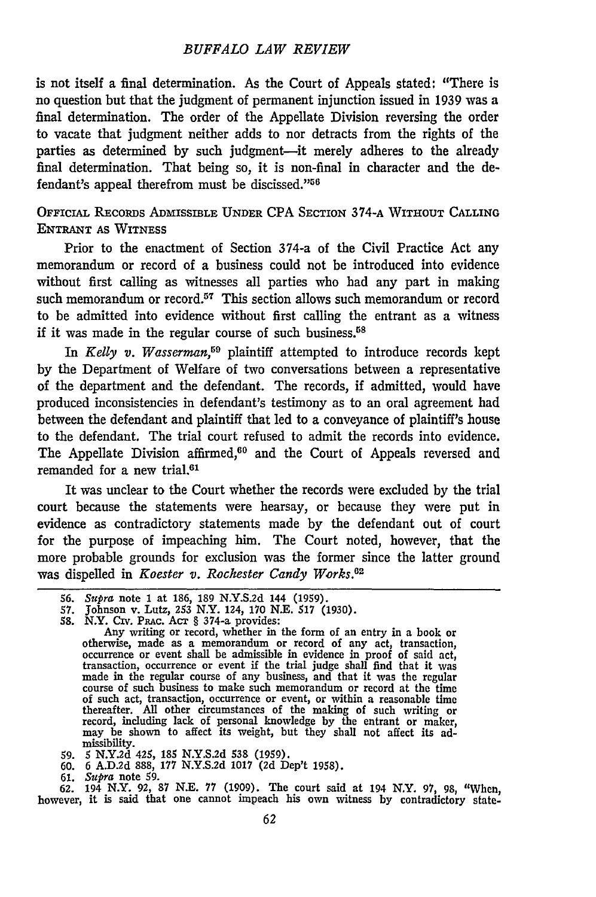#### *BUFFALO LAW REVIEW*

is not itself a final determination. As the Court of Appeals stated: "There is no question but that the judgment of permanent injunction issued in 1939 was a final determination. The order of the Appellate Division reversing the order to vacate that judgment neither adds to nor detracts from the rights of the parties as determined by such judgment---it merely adheres to the already final determination. That being so, it is non-final in character and the defendant's appeal therefrom must be discissed."<sup>56</sup>

#### **OFFICIAL** REcoRDs ADMISSIBLE **UNDER** CPA **SECTION 374-A WITHOUT CALLING ENTRANT AS WITNESS**

Prior to the enactment of Section 374-a of the Civil Practice Act any memorandum or record of a business could not be introduced into evidence without first calling as witnesses all parties who had any part in making such memorandum or record.<sup>57</sup> This section allows such memorandum or record to be admitted into evidence without first calling the entrant as a witness if it was made in the regular course of such business.<sup>58</sup>

In *Kelly v. Wasserman*,<sup>59</sup> plaintiff attempted to introduce records kept by the Department of Welfare of two conversations between a representative of the department and the defendant. The records, if admitted, would have produced inconsistencies in defendant's testimony as to an oral agreement had between the defendant and plaintiff that led to a conveyance of plaintiff's house to the defendant. The trial court refused to admit the records into evidence. The Appellate Division affirmed, $60$  and the Court of Appeals reversed and remanded for a new trial.<sup>61</sup>

It was unclear to the Court whether the records were excluded by the trial court because the statements were hearsay, or because they were put in evidence as contradictory statements made by the defendant out of court for the purpose of impeaching him. The Court noted, however, that the more probable grounds for exclusion was the former since the latter ground was dispelled in *Koester v. Rochester Candy Works. <sup>2</sup>*

- 
- **59. 5** N.Y.2d 425, 185 N.Y.S.2d 538 (1959). 60. 6 A.D.2d 888, 177 N.Y.S.2d 1017 (2d Dep't 1958).
- 

61. *Supra* note **59.** 62. 194 N.Y. 92, 87 N.E. 77 (1909). The court said at 194 N.Y. 97, **98,** "When, however, it is said that one cannot impeach his own witness by contradictory state-

<sup>56.</sup> *Supra* note 1 at 186, 189 N.Y.S.2d 144 (1959).

<sup>57.</sup> Johnson v. Lutz, 253 N.Y. 124, 170 N.E. 517 (1930). 58. N.Y. Cv. PRAC. AcT § 374-a provides:

Any writing or record, whether in the form of an entry in a book or otherwise, made as a memorandum or record of any act, transaction, occurrence or event shall be admissible in evidence in proof of said act, transaction, occurrence or event if the trial judge shall find that it was made in the regular course of any business, and that it was the regular course of such business to make such memorandum or record at the time of such act, transaction, occurrence or event, or within a reasonable time thereafter. All other circumstances of the making of such writing or record, including lack of personal knowledge by the entrant or maker, may be shown to affect its weight, but they shall not affect its admissibility.